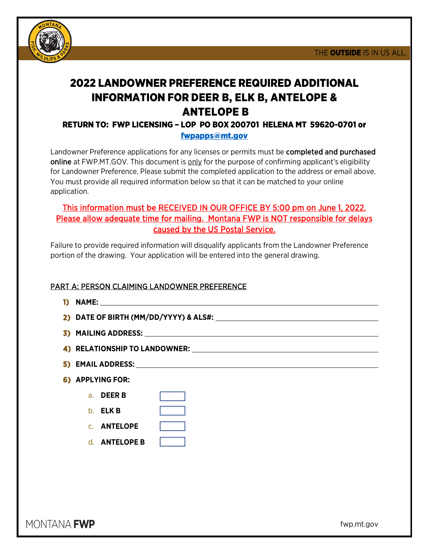

# 2022 LANDOWNER PREFERENCE REQUIRED ADDITIONAL INFORMATION FOR DEER B, ELK B, ANTELOPE & ANTELOPE B

### RETURN TO: FWP LICENSING – LOP PO BOX 200701 HELENA MT 59620-0701 or [fwpapps@mt.gov](mailto:fwpapps@mt.gov)

Landowner Preference applications for any licenses or permits must be completed and purchased online at FWP.MT.GOV. This document is only for the purpose of confirming applicant's eligibility for Landowner Preference. Please submit the completed application to the address or email above. You must provide all required information below so that it can be matched to your online application.

## This information must be RECEIVED IN OUR OFFICE BY 5:00 pm on June 1, 2022. Please allow adequate time for mailing. Montana FWP is NOT responsible for delays caused by the US Postal Service.

Failure to provide required information will disqualify applicants from the Landowner Preference portion of the drawing. Your application will be entered into the general drawing.

#### PART A: PERSON CLAIMING LANDOWNER PREFERENCE

| 6) APPLYING FOR:   |                      |  |
|--------------------|----------------------|--|
| a. <b>DEER B</b>   |                      |  |
| $b.$ ELK B         |                      |  |
| <b>C. ANTELOPE</b> |                      |  |
|                    | d. <b>ANTELOPE B</b> |  |

MONTANA **FWP** 

fwp.mt.gov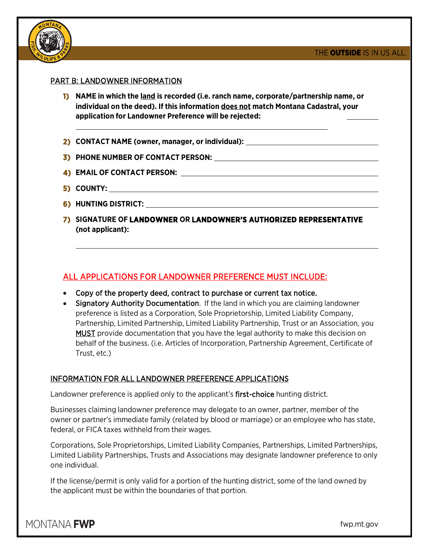

#### PART B: LANDOWNER INFORMATION

- **1) NAME in which the land is recorded (i.e. ranch name, corporate/partnership name, or individual on the deed). If this information does not match Montana Cadastral, your application for Landowner Preference will be rejected:**
- **2) CONTACT NAME (owner, manager, or individual):**
- **3) PHONE NUMBER OF CONTACT PERSON:**
- **4) EMAIL OF CONTACT PERSON:**
- **5) COUNTY:**
- **6) HUNTING DISTRICT:**
- **7) SIGNATURE OF LANDOWNER OR LANDOWNER'S AUTHORIZED REPRESENTATIVE (not applicant):**

#### ALL APPLICATIONS FOR LANDOWNER PREFERENCE MUST INCLUDE:

- Copy of the property deed, contract to purchase or current tax notice.
- Signatory Authority Documentation. If the land in which you are claiming landowner preference is listed as a Corporation, Sole Proprietorship, Limited Liability Company, Partnership, Limited Partnership, Limited Liability Partnership, Trust or an Association, you MUST provide documentation that you have the legal authority to make this decision on behalf of the business. (i.e. Articles of Incorporation, Partnership Agreement, Certificate of Trust, etc.)

#### INFORMATION FOR ALL LANDOWNER PREFERENCE APPLICATIONS

Landowner preference is applied only to the applicant's first-choice hunting district.

Businesses claiming landowner preference may delegate to an owner, partner, member of the owner or partner's immediate family (related by blood or marriage) or an employee who has state, federal, or FICA taxes withheld from their wages.

Corporations, Sole Proprietorships, Limited Liability Companies, Partnerships, Limited Partnerships, Limited Liability Partnerships, Trusts and Associations may designate landowner preference to only one individual.

If the license/permit is only valid for a portion of the hunting district, some of the land owned by the applicant must be within the boundaries of that portion.